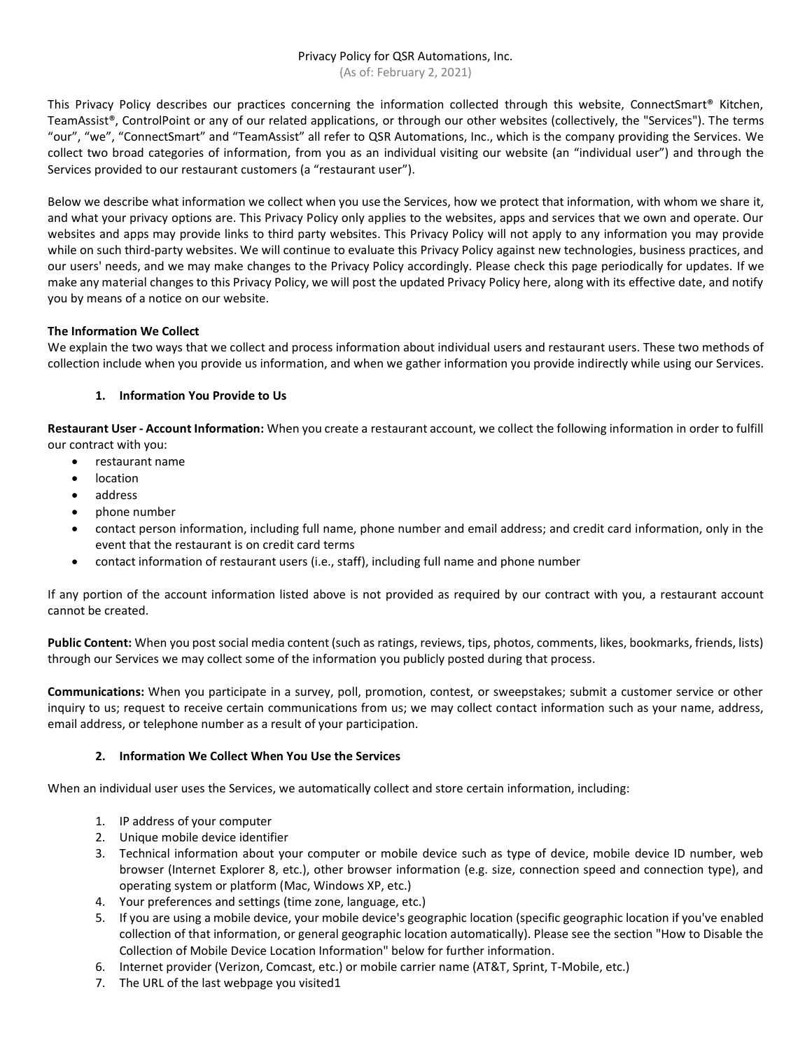# Privacy Policy for QSR Automations, Inc.

(As of: February 2, 2021)

This Privacy Policy describes our practices concerning the information collected through this website, ConnectSmart® Kitchen, TeamAssist®, ControlPoint or any of our related applications, or through our other websites (collectively, the "Services"). The terms "our", "we", "ConnectSmart" and "TeamAssist" all refer to QSR Automations, Inc., which is the company providing the Services. We collect two broad categories of information, from you as an individual visiting our website (an "individual user") and through the Services provided to our restaurant customers (a "restaurant user").

Below we describe what information we collect when you use the Services, how we protect that information, with whom we share it, and what your privacy options are. This Privacy Policy only applies to the websites, apps and services that we own and operate. Our websites and apps may provide links to third party websites. This Privacy Policy will not apply to any information you may provide while on such third-party websites. We will continue to evaluate this Privacy Policy against new technologies, business practices, and our users' needs, and we may make changes to the Privacy Policy accordingly. Please check this page periodically for updates. If we make any material changes to this Privacy Policy, we will post the updated Privacy Policy here, along with its effective date, and notify you by means of a notice on our website.

# **The Information We Collect**

We explain the two ways that we collect and process information about individual users and restaurant users. These two methods of collection include when you provide us information, and when we gather information you provide indirectly while using our Services.

# **1. Information You Provide to Us**

**Restaurant User - Account Information:** When you create a restaurant account, we collect the following information in order to fulfill our contract with you:

- restaurant name
- location
- address
- phone number
- contact person information, including full name, phone number and email address; and credit card information, only in the event that the restaurant is on credit card terms
- contact information of restaurant users (i.e., staff), including full name and phone number

If any portion of the account information listed above is not provided as required by our contract with you, a restaurant account cannot be created.

**Public Content:** When you post social media content (such as ratings, reviews, tips, photos, comments, likes, bookmarks, friends, lists) through our Services we may collect some of the information you publicly posted during that process.

**Communications:** When you participate in a survey, poll, promotion, contest, or sweepstakes; submit a customer service or other inquiry to us; request to receive certain communications from us; we may collect contact information such as your name, address, email address, or telephone number as a result of your participation.

## **2. Information We Collect When You Use the Services**

When an individual user uses the Services, we automatically collect and store certain information, including:

- 1. IP address of your computer
- 2. Unique mobile device identifier
- 3. Technical information about your computer or mobile device such as type of device, mobile device ID number, web browser (Internet Explorer 8, etc.), other browser information (e.g. size, connection speed and connection type), and operating system or platform (Mac, Windows XP, etc.)
- 4. Your preferences and settings (time zone, language, etc.)
- 5. If you are using a mobile device, your mobile device's geographic location (specific geographic location if you've enabled collection of that information, or general geographic location automatically). Please see the section "How to Disable the Collection of Mobile Device Location Information" below for further information.
- 6. Internet provider (Verizon, Comcast, etc.) or mobile carrier name (AT&T, Sprint, T-Mobile, etc.)
- 7. The URL of the last webpage you visited1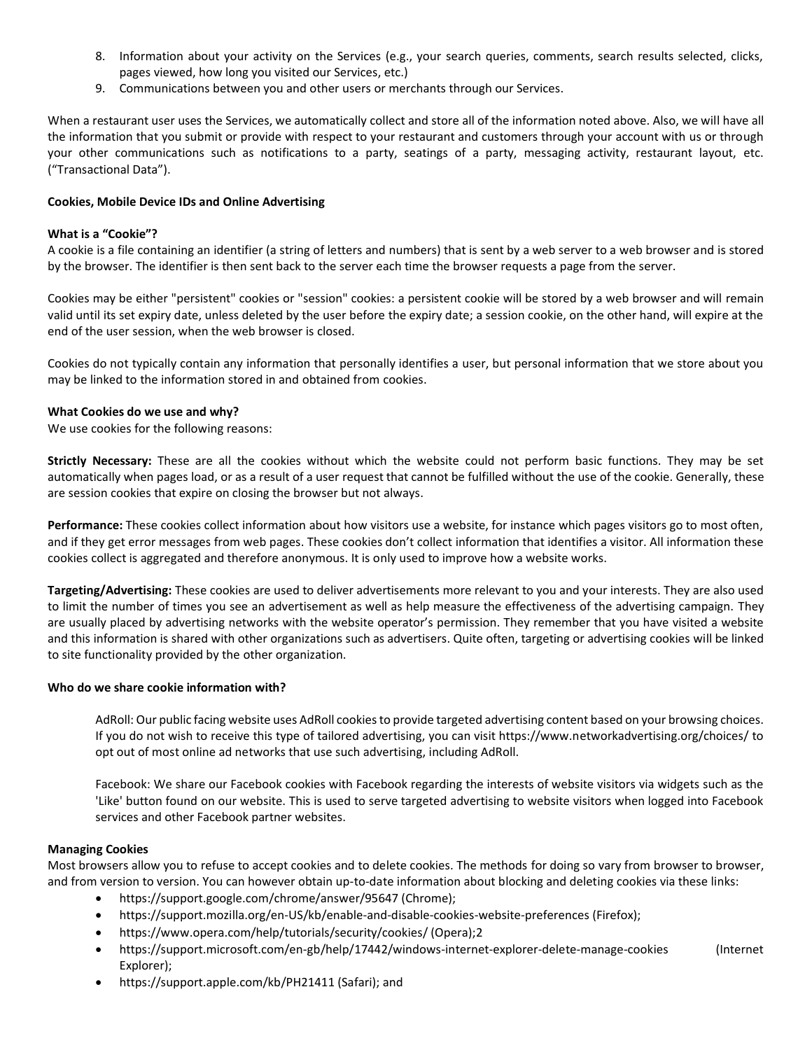- 8. Information about your activity on the Services (e.g., your search queries, comments, search results selected, clicks, pages viewed, how long you visited our Services, etc.)
- 9. Communications between you and other users or merchants through our Services.

When a restaurant user uses the Services, we automatically collect and store all of the information noted above. Also, we will have all the information that you submit or provide with respect to your restaurant and customers through your account with us or through your other communications such as notifications to a party, seatings of a party, messaging activity, restaurant layout, etc. ("Transactional Data").

### **Cookies, Mobile Device IDs and Online Advertising**

### **What is a "Cookie"?**

A cookie is a file containing an identifier (a string of letters and numbers) that is sent by a web server to a web browser and is stored by the browser. The identifier is then sent back to the server each time the browser requests a page from the server.

Cookies may be either "persistent" cookies or "session" cookies: a persistent cookie will be stored by a web browser and will remain valid until its set expiry date, unless deleted by the user before the expiry date; a session cookie, on the other hand, will expire at the end of the user session, when the web browser is closed.

Cookies do not typically contain any information that personally identifies a user, but personal information that we store about you may be linked to the information stored in and obtained from cookies.

### **What Cookies do we use and why?**

We use cookies for the following reasons:

**Strictly Necessary:** These are all the cookies without which the website could not perform basic functions. They may be set automatically when pages load, or as a result of a user request that cannot be fulfilled without the use of the cookie. Generally, these are session cookies that expire on closing the browser but not always.

**Performance:** These cookies collect information about how visitors use a website, for instance which pages visitors go to most often, and if they get error messages from web pages. These cookies don't collect information that identifies a visitor. All information these cookies collect is aggregated and therefore anonymous. It is only used to improve how a website works.

**Targeting/Advertising:** These cookies are used to deliver advertisements more relevant to you and your interests. They are also used to limit the number of times you see an advertisement as well as help measure the effectiveness of the advertising campaign. They are usually placed by advertising networks with the website operator's permission. They remember that you have visited a website and this information is shared with other organizations such as advertisers. Quite often, targeting or advertising cookies will be linked to site functionality provided by the other organization.

### **Who do we share cookie information with?**

AdRoll: Our public facing website uses AdRoll cookies to provide targeted advertising content based on your browsing choices. If you do not wish to receive this type of tailored advertising, you can visit https://www.networkadvertising.org/choices/ to opt out of most online ad networks that use such advertising, including AdRoll.

Facebook: We share our Facebook cookies with Facebook regarding the interests of website visitors via widgets such as the 'Like' button found on our website. This is used to serve targeted advertising to website visitors when logged into Facebook services and other Facebook partner websites.

### **Managing Cookies**

Most browsers allow you to refuse to accept cookies and to delete cookies. The methods for doing so vary from browser to browser, and from version to version. You can however obtain up-to-date information about blocking and deleting cookies via these links:

- https://support.google.com/chrome/answer/95647 (Chrome);
- https://support.mozilla.org/en-US/kb/enable-and-disable-cookies-website-preferences (Firefox);
- https://www.opera.com/help/tutorials/security/cookies/ (Opera);2
- https://support.microsoft.com/en-gb/help/17442/windows-internet-explorer-delete-manage-cookies (Internet Explorer);
- https://support.apple.com/kb/PH21411 (Safari); and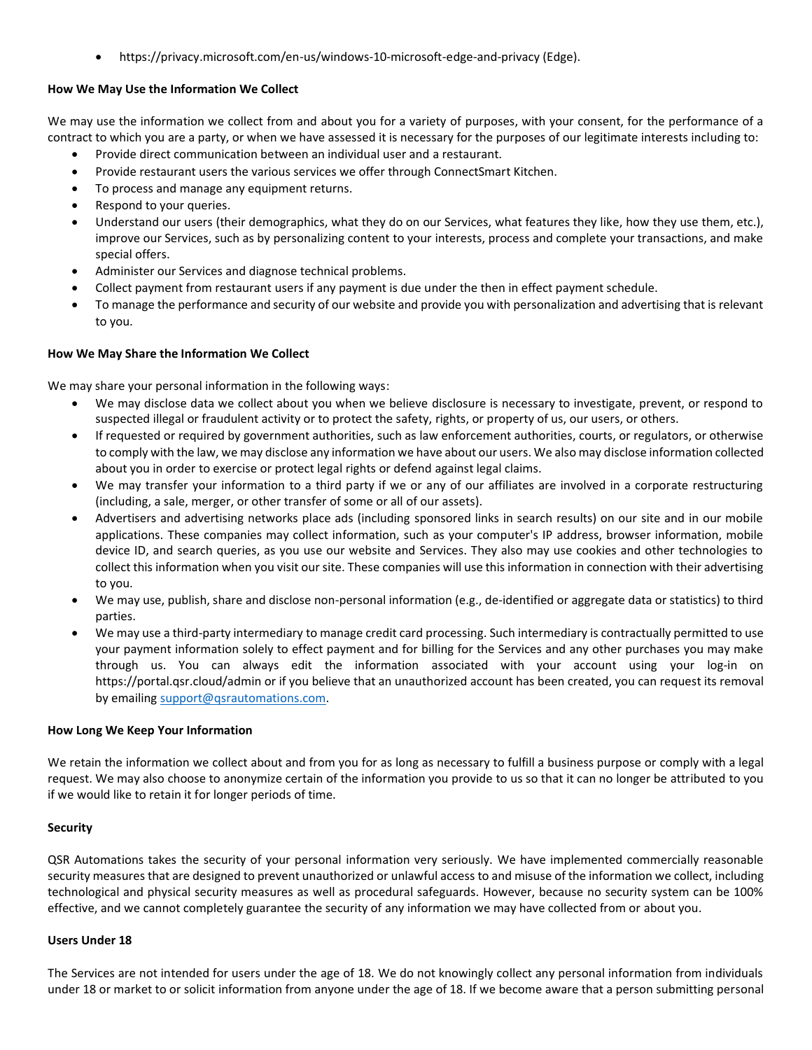• https://privacy.microsoft.com/en-us/windows-10-microsoft-edge-and-privacy (Edge).

# **How We May Use the Information We Collect**

We may use the information we collect from and about you for a variety of purposes, with your consent, for the performance of a contract to which you are a party, or when we have assessed it is necessary for the purposes of our legitimate interests including to:

- Provide direct communication between an individual user and a restaurant.
- Provide restaurant users the various services we offer through ConnectSmart Kitchen.
- To process and manage any equipment returns.
- Respond to your queries.
- Understand our users (their demographics, what they do on our Services, what features they like, how they use them, etc.), improve our Services, such as by personalizing content to your interests, process and complete your transactions, and make special offers.
- Administer our Services and diagnose technical problems.
- Collect payment from restaurant users if any payment is due under the then in effect payment schedule.
- To manage the performance and security of our website and provide you with personalization and advertising that is relevant to you.

## **How We May Share the Information We Collect**

We may share your personal information in the following ways:

- We may disclose data we collect about you when we believe disclosure is necessary to investigate, prevent, or respond to suspected illegal or fraudulent activity or to protect the safety, rights, or property of us, our users, or others.
- If requested or required by government authorities, such as law enforcement authorities, courts, or regulators, or otherwise to comply with the law, we may disclose any information we have about our users. We also may disclose information collected about you in order to exercise or protect legal rights or defend against legal claims.
- We may transfer your information to a third party if we or any of our affiliates are involved in a corporate restructuring (including, a sale, merger, or other transfer of some or all of our assets).
- Advertisers and advertising networks place ads (including sponsored links in search results) on our site and in our mobile applications. These companies may collect information, such as your computer's IP address, browser information, mobile device ID, and search queries, as you use our website and Services. They also may use cookies and other technologies to collect this information when you visit our site. These companies will use this information in connection with their advertising to you.
- We may use, publish, share and disclose non-personal information (e.g., de-identified or aggregate data or statistics) to third parties.
- We may use a third-party intermediary to manage credit card processing. Such intermediary is contractually permitted to use your payment information solely to effect payment and for billing for the Services and any other purchases you may make through us. You can always edit the information associated with your account using your log-in on https://portal.qsr.cloud/admin or if you believe that an unauthorized account has been created, you can request its removal by emailing [support@qsrautomations.com.](mailto:support@qsrautomations.com)

## **How Long We Keep Your Information**

We retain the information we collect about and from you for as long as necessary to fulfill a business purpose or comply with a legal request. We may also choose to anonymize certain of the information you provide to us so that it can no longer be attributed to you if we would like to retain it for longer periods of time.

## **Security**

QSR Automations takes the security of your personal information very seriously. We have implemented commercially reasonable security measures that are designed to prevent unauthorized or unlawful access to and misuse of the information we collect, including technological and physical security measures as well as procedural safeguards. However, because no security system can be 100% effective, and we cannot completely guarantee the security of any information we may have collected from or about you.

### **Users Under 18**

The Services are not intended for users under the age of 18. We do not knowingly collect any personal information from individuals under 18 or market to or solicit information from anyone under the age of 18. If we become aware that a person submitting personal